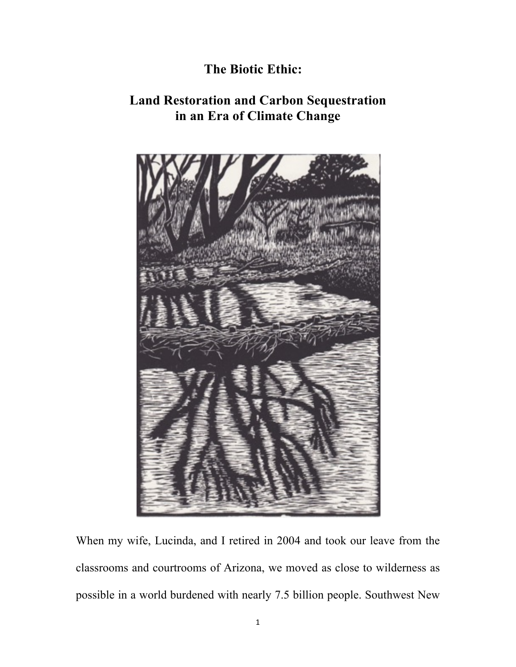## **The Biotic Ethic:**

## **Land Restoration and Carbon Sequestration in an Era of Climate Change**



When my wife, Lucinda, and I retired in 2004 and took our leave from the classrooms and courtrooms of Arizona, we moved as close to wilderness as possible in a world burdened with nearly 7.5 billion people. Southwest New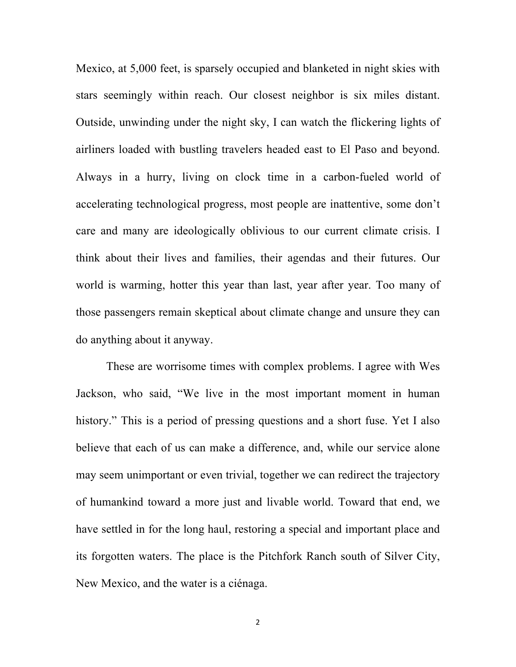Mexico, at 5,000 feet, is sparsely occupied and blanketed in night skies with stars seemingly within reach. Our closest neighbor is six miles distant. Outside, unwinding under the night sky, I can watch the flickering lights of airliners loaded with bustling travelers headed east to El Paso and beyond. Always in a hurry, living on clock time in a carbon-fueled world of accelerating technological progress, most people are inattentive, some don't care and many are ideologically oblivious to our current climate crisis. I think about their lives and families, their agendas and their futures. Our world is warming, hotter this year than last, year after year. Too many of those passengers remain skeptical about climate change and unsure they can do anything about it anyway.

These are worrisome times with complex problems. I agree with Wes Jackson, who said, "We live in the most important moment in human history." This is a period of pressing questions and a short fuse. Yet I also believe that each of us can make a difference, and, while our service alone may seem unimportant or even trivial, together we can redirect the trajectory of humankind toward a more just and livable world. Toward that end, we have settled in for the long haul, restoring a special and important place and its forgotten waters. The place is the Pitchfork Ranch south of Silver City, New Mexico, and the water is a ciénaga.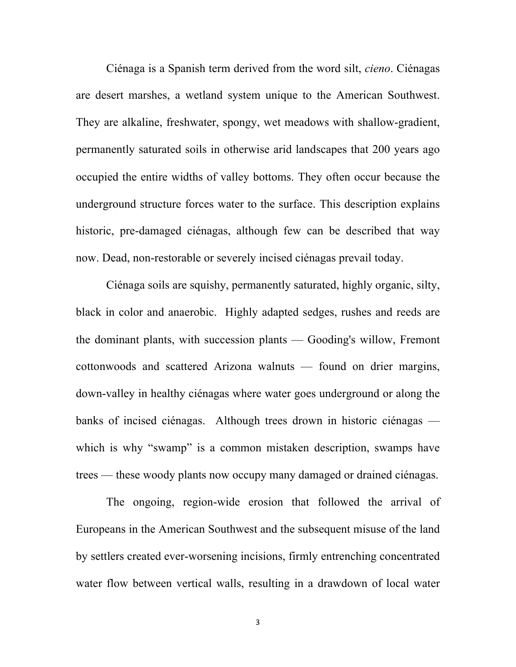Ciénaga is a Spanish term derived from the word silt, *cieno*. Ciénagas are desert marshes, a wetland system unique to the American Southwest. They are alkaline, freshwater, spongy, wet meadows with shallow-gradient, permanently saturated soils in otherwise arid landscapes that 200 years ago occupied the entire widths of valley bottoms. They often occur because the underground structure forces water to the surface. This description explains historic, pre-damaged ciénagas, although few can be described that way now. Dead, non-restorable or severely incised ciénagas prevail today.

Ciénaga soils are squishy, permanently saturated, highly organic, silty, black in color and anaerobic. Highly adapted sedges, rushes and reeds are the dominant plants, with succession plants — Gooding's willow, Fremont cottonwoods and scattered Arizona walnuts — found on drier margins, down-valley in healthy ciénagas where water goes underground or along the banks of incised ciénagas. Although trees drown in historic ciénagas which is why "swamp" is a common mistaken description, swamps have trees — these woody plants now occupy many damaged or drained ciénagas.

The ongoing, region-wide erosion that followed the arrival of Europeans in the American Southwest and the subsequent misuse of the land by settlers created ever-worsening incisions, firmly entrenching concentrated water flow between vertical walls, resulting in a drawdown of local water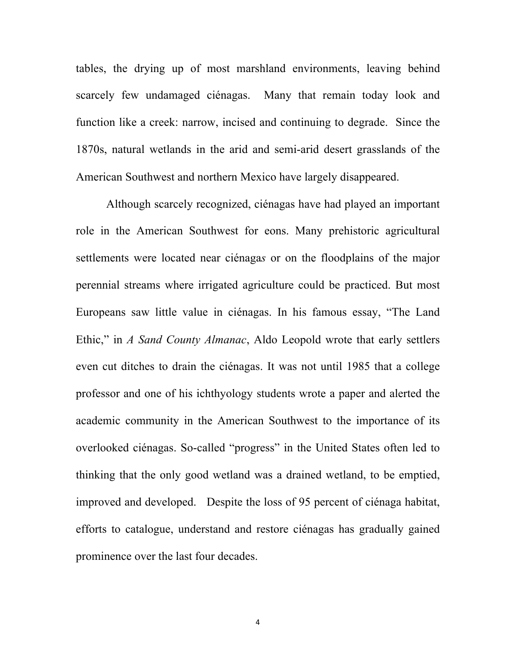tables, the drying up of most marshland environments, leaving behind scarcely few undamaged ciénagas. Many that remain today look and function like a creek: narrow, incised and continuing to degrade. Since the 1870s, natural wetlands in the arid and semi-arid desert grasslands of the American Southwest and northern Mexico have largely disappeared.

Although scarcely recognized, ciénagas have had played an important role in the American Southwest for eons. Many prehistoric agricultural settlements were located near ciénaga*s* or on the floodplains of the major perennial streams where irrigated agriculture could be practiced. But most Europeans saw little value in ciénagas. In his famous essay, "The Land Ethic," in *A Sand County Almanac*, Aldo Leopold wrote that early settlers even cut ditches to drain the ciénagas. It was not until 1985 that a college professor and one of his ichthyology students wrote a paper and alerted the academic community in the American Southwest to the importance of its overlooked ciénagas. So-called "progress" in the United States often led to thinking that the only good wetland was a drained wetland, to be emptied, improved and developed. Despite the loss of 95 percent of ciénaga habitat, efforts to catalogue, understand and restore ciénagas has gradually gained prominence over the last four decades.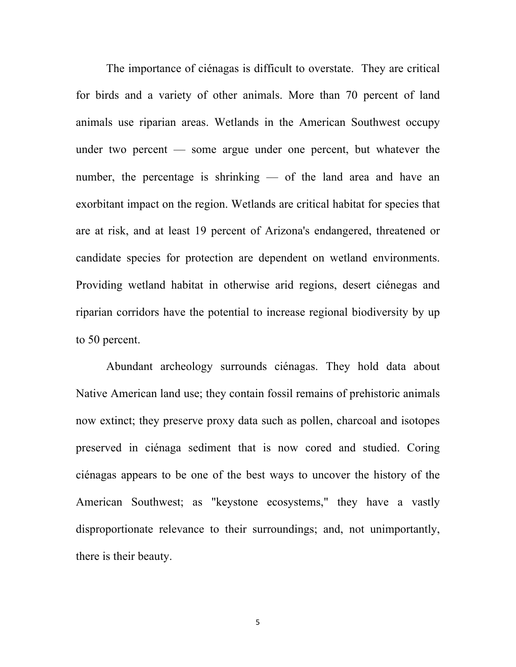The importance of ciénagas is difficult to overstate. They are critical for birds and a variety of other animals. More than 70 percent of land animals use riparian areas. Wetlands in the American Southwest occupy under two percent — some argue under one percent, but whatever the number, the percentage is shrinking — of the land area and have an exorbitant impact on the region. Wetlands are critical habitat for species that are at risk, and at least 19 percent of Arizona's endangered, threatened or candidate species for protection are dependent on wetland environments. Providing wetland habitat in otherwise arid regions, desert ciénegas and riparian corridors have the potential to increase regional biodiversity by up to 50 percent.

Abundant archeology surrounds ciénagas. They hold data about Native American land use; they contain fossil remains of prehistoric animals now extinct; they preserve proxy data such as pollen, charcoal and isotopes preserved in ciénaga sediment that is now cored and studied. Coring ciénagas appears to be one of the best ways to uncover the history of the American Southwest; as "keystone ecosystems," they have a vastly disproportionate relevance to their surroundings; and, not unimportantly, there is their beauty.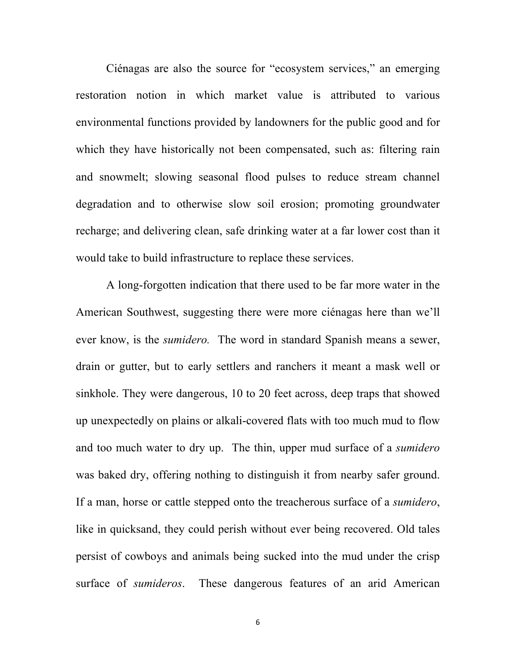Ciénagas are also the source for "ecosystem services," an emerging restoration notion in which market value is attributed to various environmental functions provided by landowners for the public good and for which they have historically not been compensated, such as: filtering rain and snowmelt; slowing seasonal flood pulses to reduce stream channel degradation and to otherwise slow soil erosion; promoting groundwater recharge; and delivering clean, safe drinking water at a far lower cost than it would take to build infrastructure to replace these services.

A long-forgotten indication that there used to be far more water in the American Southwest, suggesting there were more ciénagas here than we'll ever know, is the *sumidero.* The word in standard Spanish means a sewer, drain or gutter, but to early settlers and ranchers it meant a mask well or sinkhole. They were dangerous, 10 to 20 feet across, deep traps that showed up unexpectedly on plains or alkali-covered flats with too much mud to flow and too much water to dry up. The thin, upper mud surface of a *sumidero* was baked dry, offering nothing to distinguish it from nearby safer ground. If a man, horse or cattle stepped onto the treacherous surface of a *sumidero*, like in quicksand, they could perish without ever being recovered. Old tales persist of cowboys and animals being sucked into the mud under the crisp surface of *sumideros*. These dangerous features of an arid American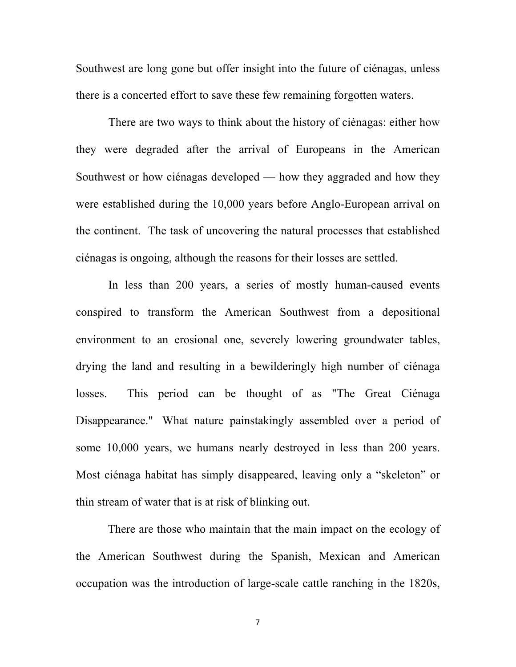Southwest are long gone but offer insight into the future of ciénagas, unless there is a concerted effort to save these few remaining forgotten waters.

 There are two ways to think about the history of ciénagas: either how they were degraded after the arrival of Europeans in the American Southwest or how ciénagas developed — how they aggraded and how they were established during the 10,000 years before Anglo-European arrival on the continent. The task of uncovering the natural processes that established ciénagas is ongoing, although the reasons for their losses are settled.

 In less than 200 years, a series of mostly human-caused events conspired to transform the American Southwest from a depositional environment to an erosional one, severely lowering groundwater tables, drying the land and resulting in a bewilderingly high number of ciénaga losses. This period can be thought of as "The Great Ciénaga Disappearance." What nature painstakingly assembled over a period of some 10,000 years, we humans nearly destroyed in less than 200 years. Most ciénaga habitat has simply disappeared, leaving only a "skeleton" or thin stream of water that is at risk of blinking out.

 There are those who maintain that the main impact on the ecology of the American Southwest during the Spanish, Mexican and American occupation was the introduction of large-scale cattle ranching in the 1820s,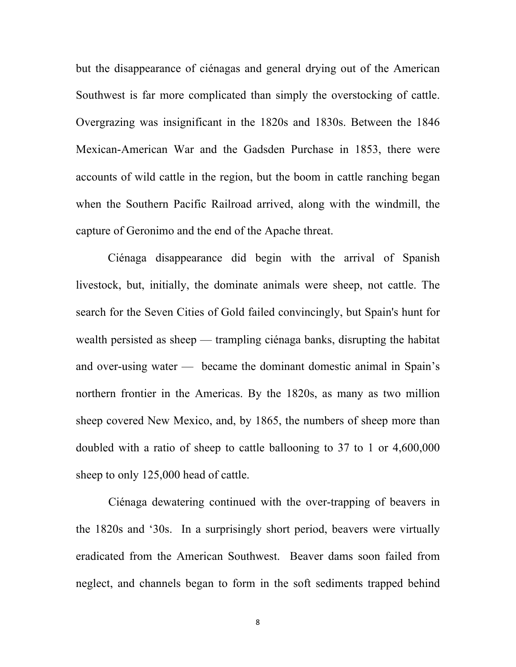but the disappearance of ciénagas and general drying out of the American Southwest is far more complicated than simply the overstocking of cattle. Overgrazing was insignificant in the 1820s and 1830s. Between the 1846 Mexican-American War and the Gadsden Purchase in 1853, there were accounts of wild cattle in the region, but the boom in cattle ranching began when the Southern Pacific Railroad arrived, along with the windmill, the capture of Geronimo and the end of the Apache threat.

 Ciénaga disappearance did begin with the arrival of Spanish livestock, but, initially, the dominate animals were sheep, not cattle. The search for the Seven Cities of Gold failed convincingly, but Spain's hunt for wealth persisted as sheep — trampling ciénaga banks, disrupting the habitat and over-using water — became the dominant domestic animal in Spain's northern frontier in the Americas. By the 1820s, as many as two million sheep covered New Mexico, and, by 1865, the numbers of sheep more than doubled with a ratio of sheep to cattle ballooning to 37 to 1 or 4,600,000 sheep to only 125,000 head of cattle.

 Ciénaga dewatering continued with the over-trapping of beavers in the 1820s and '30s. In a surprisingly short period, beavers were virtually eradicated from the American Southwest. Beaver dams soon failed from neglect, and channels began to form in the soft sediments trapped behind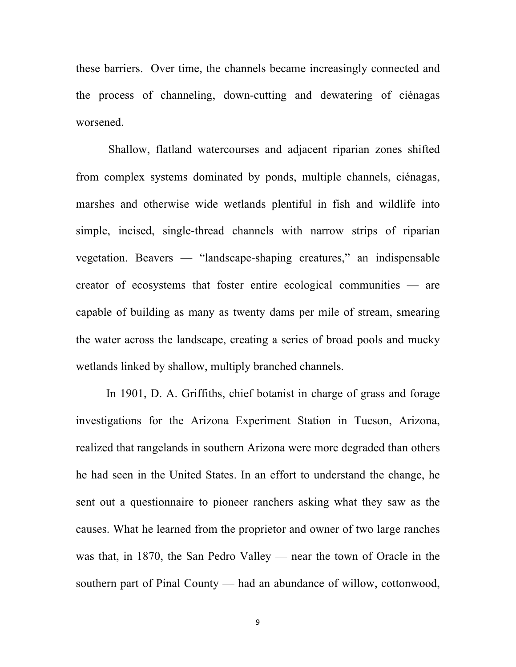these barriers. Over time, the channels became increasingly connected and the process of channeling, down-cutting and dewatering of ciénagas worsened.

 Shallow, flatland watercourses and adjacent riparian zones shifted from complex systems dominated by ponds, multiple channels, ciénagas, marshes and otherwise wide wetlands plentiful in fish and wildlife into simple, incised, single-thread channels with narrow strips of riparian vegetation. Beavers — "landscape-shaping creatures," an indispensable creator of ecosystems that foster entire ecological communities — are capable of building as many as twenty dams per mile of stream, smearing the water across the landscape, creating a series of broad pools and mucky wetlands linked by shallow, multiply branched channels.

In 1901, D. A. Griffiths, chief botanist in charge of grass and forage investigations for the Arizona Experiment Station in Tucson, Arizona, realized that rangelands in southern Arizona were more degraded than others he had seen in the United States. In an effort to understand the change, he sent out a questionnaire to pioneer ranchers asking what they saw as the causes. What he learned from the proprietor and owner of two large ranches was that, in 1870, the San Pedro Valley — near the town of Oracle in the southern part of Pinal County — had an abundance of willow, cottonwood,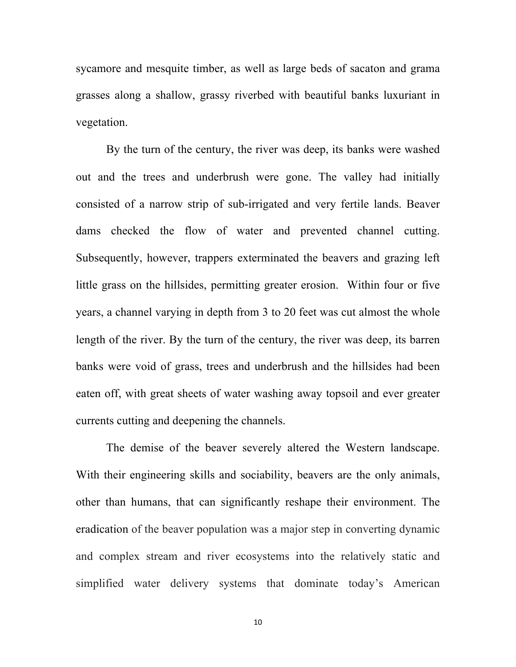sycamore and mesquite timber, as well as large beds of sacaton and grama grasses along a shallow, grassy riverbed with beautiful banks luxuriant in vegetation.

By the turn of the century, the river was deep, its banks were washed out and the trees and underbrush were gone. The valley had initially consisted of a narrow strip of sub-irrigated and very fertile lands. Beaver dams checked the flow of water and prevented channel cutting. Subsequently, however, trappers exterminated the beavers and grazing left little grass on the hillsides, permitting greater erosion. Within four or five years, a channel varying in depth from 3 to 20 feet was cut almost the whole length of the river. By the turn of the century, the river was deep, its barren banks were void of grass, trees and underbrush and the hillsides had been eaten off, with great sheets of water washing away topsoil and ever greater currents cutting and deepening the channels.

The demise of the beaver severely altered the Western landscape. With their engineering skills and sociability, beavers are the only animals, other than humans, that can significantly reshape their environment. The eradication of the beaver population was a major step in converting dynamic and complex stream and river ecosystems into the relatively static and simplified water delivery systems that dominate today's American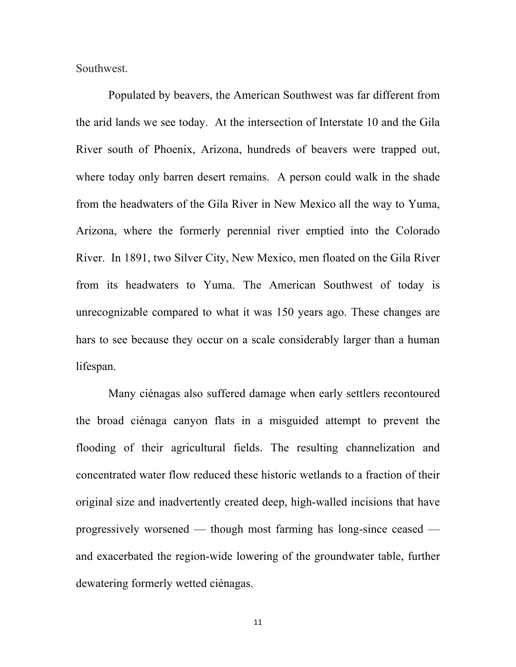Southwest.

 Populated by beavers, the American Southwest was far different from the arid lands we see today. At the intersection of Interstate 10 and the Gila River south of Phoenix, Arizona, hundreds of beavers were trapped out, where today only barren desert remains. A person could walk in the shade from the headwaters of the Gila River in New Mexico all the way to Yuma, Arizona, where the formerly perennial river emptied into the Colorado River. In 1891, two Silver City, New Mexico, men floated on the Gila River from its headwaters to Yuma. The American Southwest of today is unrecognizable compared to what it was 150 years ago. These changes are hars to see because they occur on a scale considerably larger than a human lifespan.

 Many ciénagas also suffered damage when early settlers recontoured the broad ciénaga canyon flats in a misguided attempt to prevent the flooding of their agricultural fields. The resulting channelization and concentrated water flow reduced these historic wetlands to a fraction of their original size and inadvertently created deep, high-walled incisions that have progressively worsened — though most farming has long-since ceased and exacerbated the region-wide lowering of the groundwater table, further dewatering formerly wetted ciénagas.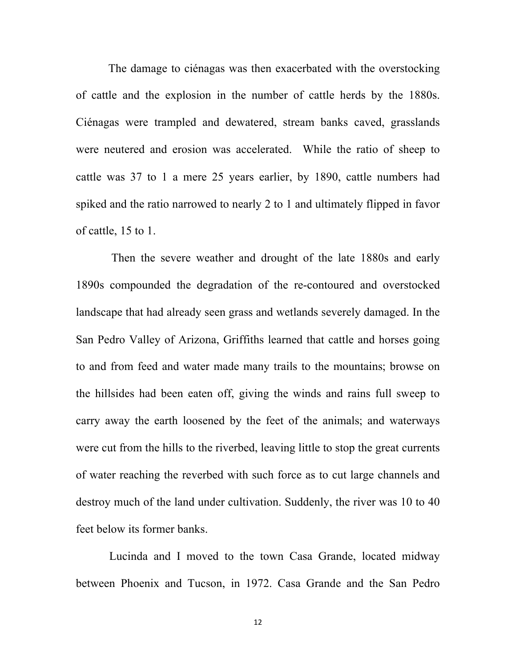The damage to ciénagas was then exacerbated with the overstocking of cattle and the explosion in the number of cattle herds by the 1880s. Ciénagas were trampled and dewatered, stream banks caved, grasslands were neutered and erosion was accelerated. While the ratio of sheep to cattle was 37 to 1 a mere 25 years earlier, by 1890, cattle numbers had spiked and the ratio narrowed to nearly 2 to 1 and ultimately flipped in favor of cattle, 15 to 1.

 Then the severe weather and drought of the late 1880s and early 1890s compounded the degradation of the re-contoured and overstocked landscape that had already seen grass and wetlands severely damaged. In the San Pedro Valley of Arizona, Griffiths learned that cattle and horses going to and from feed and water made many trails to the mountains; browse on the hillsides had been eaten off, giving the winds and rains full sweep to carry away the earth loosened by the feet of the animals; and waterways were cut from the hills to the riverbed, leaving little to stop the great currents of water reaching the reverbed with such force as to cut large channels and destroy much of the land under cultivation. Suddenly, the river was 10 to 40 feet below its former banks.

Lucinda and I moved to the town Casa Grande, located midway between Phoenix and Tucson, in 1972. Casa Grande and the San Pedro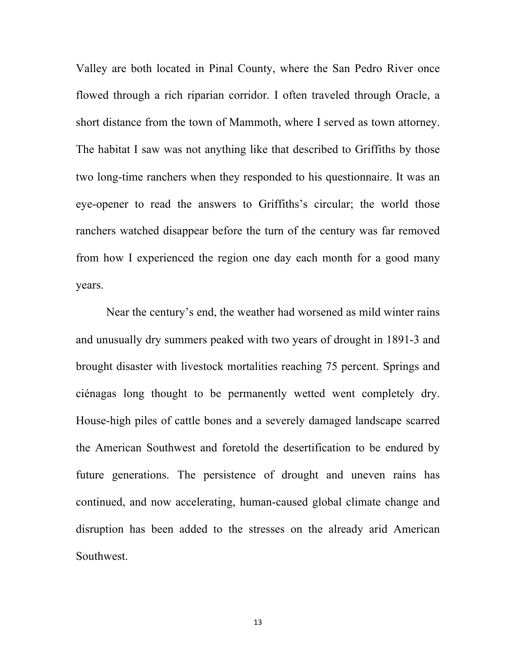Valley are both located in Pinal County, where the San Pedro River once flowed through a rich riparian corridor. I often traveled through Oracle, a short distance from the town of Mammoth, where I served as town attorney. The habitat I saw was not anything like that described to Griffiths by those two long-time ranchers when they responded to his questionnaire. It was an eye-opener to read the answers to Griffiths's circular; the world those ranchers watched disappear before the turn of the century was far removed from how I experienced the region one day each month for a good many years.

Near the century's end, the weather had worsened as mild winter rains and unusually dry summers peaked with two years of drought in 1891-3 and brought disaster with livestock mortalities reaching 75 percent. Springs and ciénagas long thought to be permanently wetted went completely dry. House-high piles of cattle bones and a severely damaged landscape scarred the American Southwest and foretold the desertification to be endured by future generations. The persistence of drought and uneven rains has continued, and now accelerating, human-caused global climate change and disruption has been added to the stresses on the already arid American Southwest.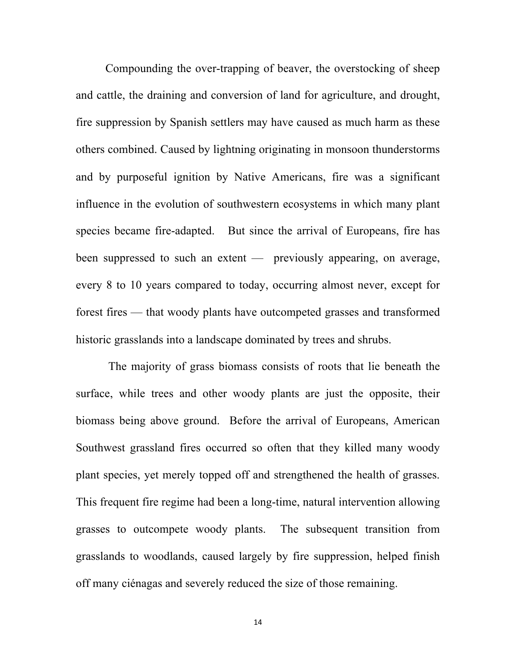Compounding the over-trapping of beaver, the overstocking of sheep and cattle, the draining and conversion of land for agriculture, and drought, fire suppression by Spanish settlers may have caused as much harm as these others combined. Caused by lightning originating in monsoon thunderstorms and by purposeful ignition by Native Americans, fire was a significant influence in the evolution of southwestern ecosystems in which many plant species became fire-adapted. But since the arrival of Europeans, fire has been suppressed to such an extent — previously appearing, on average, every 8 to 10 years compared to today, occurring almost never, except for forest fires — that woody plants have outcompeted grasses and transformed historic grasslands into a landscape dominated by trees and shrubs.

 The majority of grass biomass consists of roots that lie beneath the surface, while trees and other woody plants are just the opposite, their biomass being above ground. Before the arrival of Europeans, American Southwest grassland fires occurred so often that they killed many woody plant species, yet merely topped off and strengthened the health of grasses. This frequent fire regime had been a long-time, natural intervention allowing grasses to outcompete woody plants. The subsequent transition from grasslands to woodlands, caused largely by fire suppression, helped finish off many ciénagas and severely reduced the size of those remaining.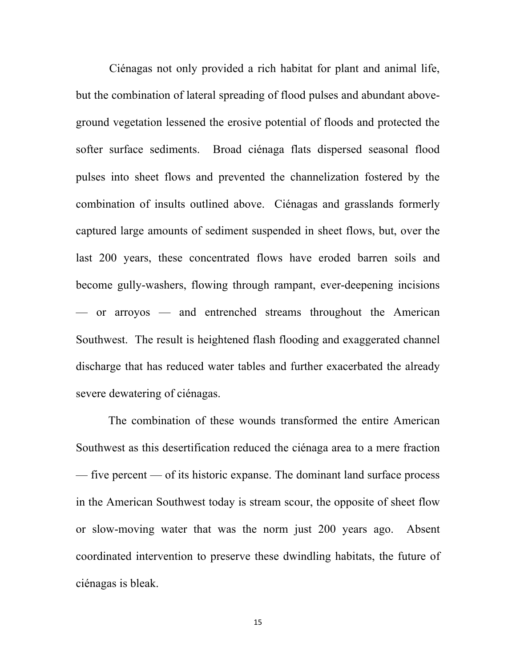Ciénagas not only provided a rich habitat for plant and animal life, but the combination of lateral spreading of flood pulses and abundant aboveground vegetation lessened the erosive potential of floods and protected the softer surface sediments. Broad ciénaga flats dispersed seasonal flood pulses into sheet flows and prevented the channelization fostered by the combination of insults outlined above. Ciénagas and grasslands formerly captured large amounts of sediment suspended in sheet flows, but, over the last 200 years, these concentrated flows have eroded barren soils and become gully-washers, flowing through rampant, ever-deepening incisions — or arroyos — and entrenched streams throughout the American Southwest. The result is heightened flash flooding and exaggerated channel discharge that has reduced water tables and further exacerbated the already severe dewatering of ciénagas.

 The combination of these wounds transformed the entire American Southwest as this desertification reduced the ciénaga area to a mere fraction — five percent — of its historic expanse. The dominant land surface process in the American Southwest today is stream scour, the opposite of sheet flow or slow-moving water that was the norm just 200 years ago. Absent coordinated intervention to preserve these dwindling habitats, the future of ciénagas is bleak.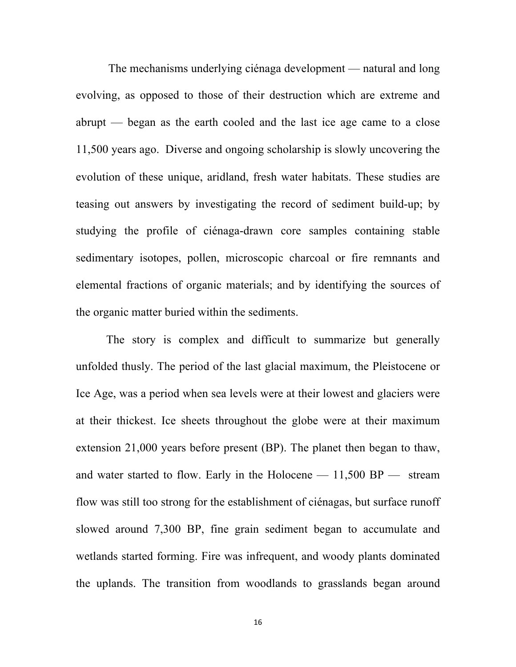The mechanisms underlying ciénaga development — natural and long evolving, as opposed to those of their destruction which are extreme and abrupt — began as the earth cooled and the last ice age came to a close 11,500 years ago. Diverse and ongoing scholarship is slowly uncovering the evolution of these unique, aridland, fresh water habitats. These studies are teasing out answers by investigating the record of sediment build-up; by studying the profile of ciénaga-drawn core samples containing stable sedimentary isotopes, pollen, microscopic charcoal or fire remnants and elemental fractions of organic materials; and by identifying the sources of the organic matter buried within the sediments.

The story is complex and difficult to summarize but generally unfolded thusly. The period of the last glacial maximum, the Pleistocene or Ice Age, was a period when sea levels were at their lowest and glaciers were at their thickest. Ice sheets throughout the globe were at their maximum extension 21,000 years before present (BP). The planet then began to thaw, and water started to flow. Early in the Holocene  $- 11,500$  BP  $-$  stream flow was still too strong for the establishment of ciénagas, but surface runoff slowed around 7,300 BP, fine grain sediment began to accumulate and wetlands started forming. Fire was infrequent, and woody plants dominated the uplands. The transition from woodlands to grasslands began around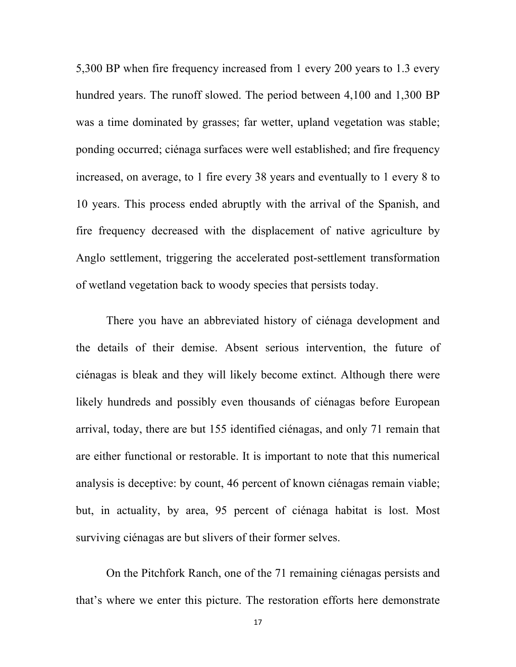5,300 BP when fire frequency increased from 1 every 200 years to 1.3 every hundred years. The runoff slowed. The period between 4,100 and 1,300 BP was a time dominated by grasses; far wetter, upland vegetation was stable; ponding occurred; ciénaga surfaces were well established; and fire frequency increased, on average, to 1 fire every 38 years and eventually to 1 every 8 to 10 years. This process ended abruptly with the arrival of the Spanish, and fire frequency decreased with the displacement of native agriculture by Anglo settlement, triggering the accelerated post-settlement transformation of wetland vegetation back to woody species that persists today.

There you have an abbreviated history of ciénaga development and the details of their demise. Absent serious intervention, the future of ciénagas is bleak and they will likely become extinct. Although there were likely hundreds and possibly even thousands of ciénagas before European arrival, today, there are but 155 identified ciénagas, and only 71 remain that are either functional or restorable. It is important to note that this numerical analysis is deceptive: by count, 46 percent of known ciénagas remain viable; but, in actuality, by area, 95 percent of ciénaga habitat is lost. Most surviving ciénagas are but slivers of their former selves.

On the Pitchfork Ranch, one of the 71 remaining ciénagas persists and that's where we enter this picture. The restoration efforts here demonstrate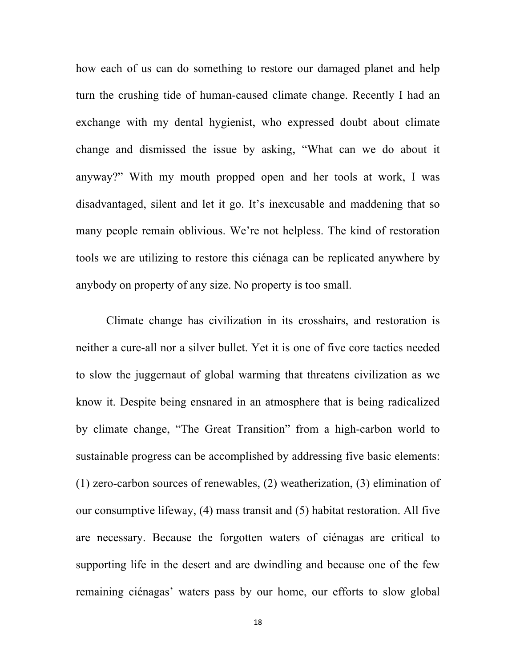how each of us can do something to restore our damaged planet and help turn the crushing tide of human-caused climate change. Recently I had an exchange with my dental hygienist, who expressed doubt about climate change and dismissed the issue by asking, "What can we do about it anyway?" With my mouth propped open and her tools at work, I was disadvantaged, silent and let it go. It's inexcusable and maddening that so many people remain oblivious. We're not helpless. The kind of restoration tools we are utilizing to restore this ciénaga can be replicated anywhere by anybody on property of any size. No property is too small.

Climate change has civilization in its crosshairs, and restoration is neither a cure-all nor a silver bullet. Yet it is one of five core tactics needed to slow the juggernaut of global warming that threatens civilization as we know it. Despite being ensnared in an atmosphere that is being radicalized by climate change, "The Great Transition" from a high-carbon world to sustainable progress can be accomplished by addressing five basic elements: (1) zero-carbon sources of renewables, (2) weatherization, (3) elimination of our consumptive lifeway, (4) mass transit and (5) habitat restoration. All five are necessary. Because the forgotten waters of ciénagas are critical to supporting life in the desert and are dwindling and because one of the few remaining ciénagas' waters pass by our home, our efforts to slow global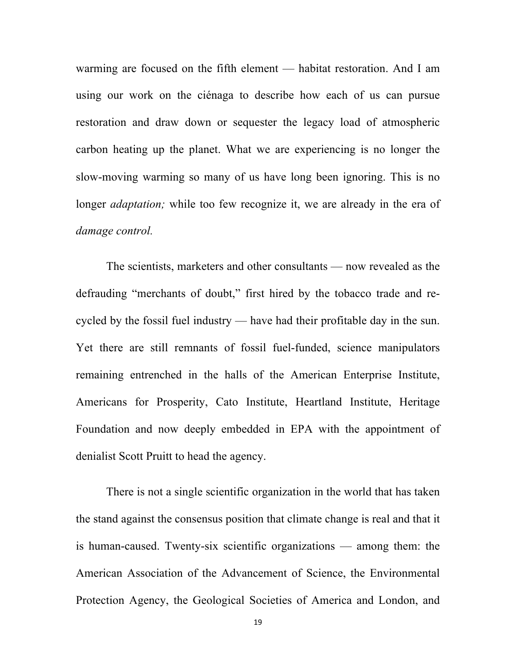warming are focused on the fifth element — habitat restoration. And I am using our work on the ciénaga to describe how each of us can pursue restoration and draw down or sequester the legacy load of atmospheric carbon heating up the planet. What we are experiencing is no longer the slow-moving warming so many of us have long been ignoring. This is no longer *adaptation;* while too few recognize it, we are already in the era of *damage control.*

The scientists, marketers and other consultants — now revealed as the defrauding "merchants of doubt," first hired by the tobacco trade and recycled by the fossil fuel industry — have had their profitable day in the sun. Yet there are still remnants of fossil fuel-funded, science manipulators remaining entrenched in the halls of the American Enterprise Institute, Americans for Prosperity, Cato Institute, Heartland Institute, Heritage Foundation and now deeply embedded in EPA with the appointment of denialist Scott Pruitt to head the agency.

There is not a single scientific organization in the world that has taken the stand against the consensus position that climate change is real and that it is human-caused. Twenty-six scientific organizations — among them: the American Association of the Advancement of Science, the Environmental Protection Agency, the Geological Societies of America and London, and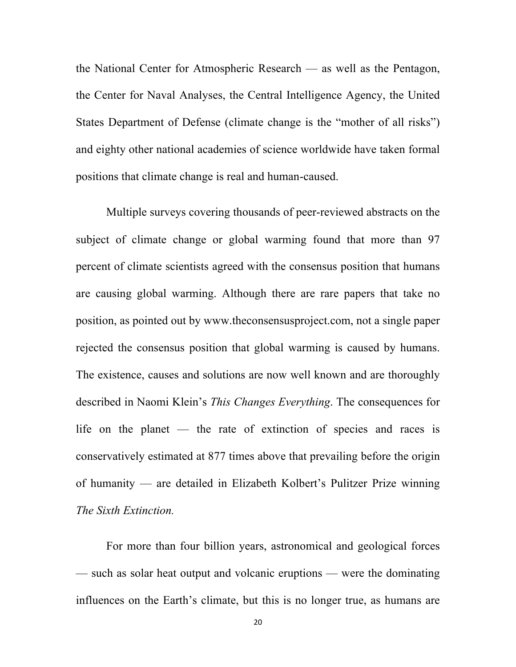the National Center for Atmospheric Research — as well as the Pentagon, the Center for Naval Analyses, the Central Intelligence Agency, the United States Department of Defense (climate change is the "mother of all risks") and eighty other national academies of science worldwide have taken formal positions that climate change is real and human-caused.

Multiple surveys covering thousands of peer-reviewed abstracts on the subject of climate change or global warming found that more than 97 percent of climate scientists agreed with the consensus position that humans are causing global warming. Although there are rare papers that take no position, as pointed out by www.theconsensusproject.com, not a single paper rejected the consensus position that global warming is caused by humans. The existence, causes and solutions are now well known and are thoroughly described in Naomi Klein's *This Changes Everything*. The consequences for life on the planet — the rate of extinction of species and races is conservatively estimated at 877 times above that prevailing before the origin of humanity — are detailed in Elizabeth Kolbert's Pulitzer Prize winning *The Sixth Extinction.* 

For more than four billion years, astronomical and geological forces — such as solar heat output and volcanic eruptions — were the dominating influences on the Earth's climate, but this is no longer true, as humans are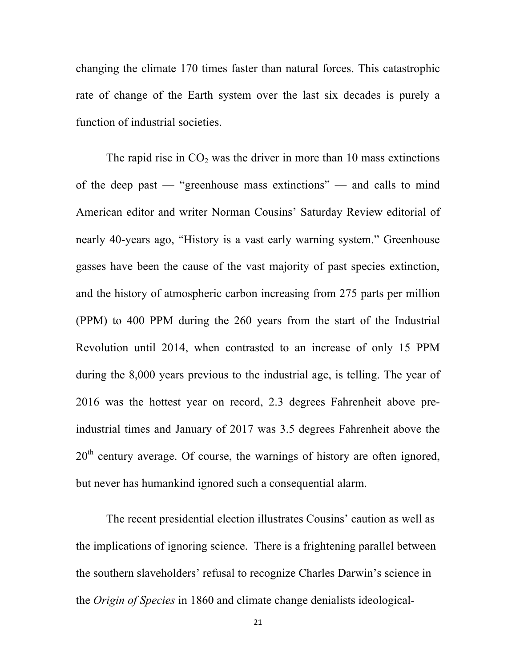changing the climate 170 times faster than natural forces. This catastrophic rate of change of the Earth system over the last six decades is purely a function of industrial societies.

The rapid rise in  $CO<sub>2</sub>$  was the driver in more than 10 mass extinctions of the deep past — "greenhouse mass extinctions" — and calls to mind American editor and writer Norman Cousins' Saturday Review editorial of nearly 40-years ago, "History is a vast early warning system." Greenhouse gasses have been the cause of the vast majority of past species extinction, and the history of atmospheric carbon increasing from 275 parts per million (PPM) to 400 PPM during the 260 years from the start of the Industrial Revolution until 2014, when contrasted to an increase of only 15 PPM during the 8,000 years previous to the industrial age, is telling. The year of 2016 was the hottest year on record, 2.3 degrees Fahrenheit above preindustrial times and January of 2017 was 3.5 degrees Fahrenheit above the  $20<sup>th</sup>$  century average. Of course, the warnings of history are often ignored, but never has humankind ignored such a consequential alarm.

The recent presidential election illustrates Cousins' caution as well as the implications of ignoring science. There is a frightening parallel between the southern slaveholders' refusal to recognize Charles Darwin's science in the *Origin of Species* in 1860 and climate change denialists ideological-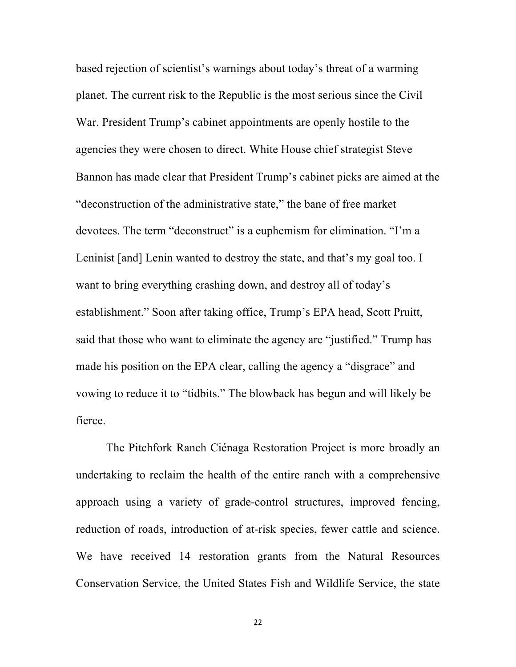based rejection of scientist's warnings about today's threat of a warming planet. The current risk to the Republic is the most serious since the Civil War. President Trump's cabinet appointments are openly hostile to the agencies they were chosen to direct. White House chief strategist Steve Bannon has made clear that President Trump's cabinet picks are aimed at the "deconstruction of the administrative state," the bane of free market devotees. The term "deconstruct" is a euphemism for elimination. "I'm a Leninist [and] Lenin wanted to destroy the state, and that's my goal too. I want to bring everything crashing down, and destroy all of today's establishment." Soon after taking office, Trump's EPA head, Scott Pruitt, said that those who want to eliminate the agency are "justified." Trump has made his position on the EPA clear, calling the agency a "disgrace" and vowing to reduce it to "tidbits." The blowback has begun and will likely be fierce.

The Pitchfork Ranch Ciénaga Restoration Project is more broadly an undertaking to reclaim the health of the entire ranch with a comprehensive approach using a variety of grade-control structures, improved fencing, reduction of roads, introduction of at-risk species, fewer cattle and science. We have received 14 restoration grants from the Natural Resources Conservation Service, the United States Fish and Wildlife Service, the state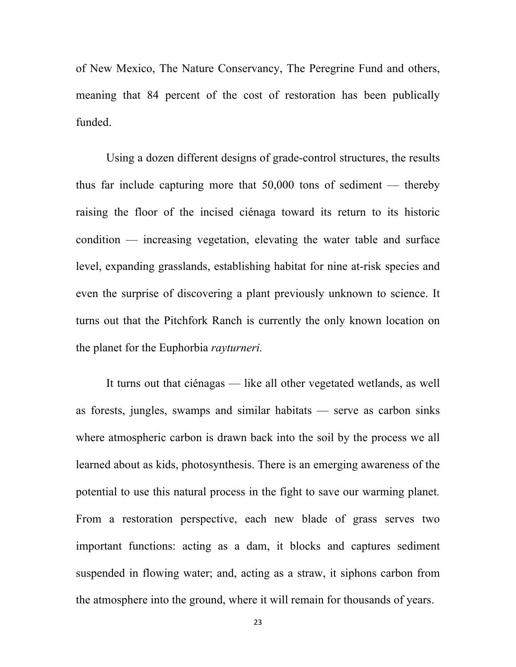of New Mexico, The Nature Conservancy, The Peregrine Fund and others, meaning that 84 percent of the cost of restoration has been publically funded.

Using a dozen different designs of grade-control structures, the results thus far include capturing more that 50,000 tons of sediment — thereby raising the floor of the incised ciénaga toward its return to its historic condition — increasing vegetation, elevating the water table and surface level, expanding grasslands, establishing habitat for nine at-risk species and even the surprise of discovering a plant previously unknown to science. It turns out that the Pitchfork Ranch is currently the only known location on the planet for the Euphorbia *rayturneri.*

It turns out that ciénagas — like all other vegetated wetlands, as well as forests, jungles, swamps and similar habitats — serve as carbon sinks where atmospheric carbon is drawn back into the soil by the process we all learned about as kids, photosynthesis. There is an emerging awareness of the potential to use this natural process in the fight to save our warming planet*.*  From a restoration perspective, each new blade of grass serves two important functions: acting as a dam, it blocks and captures sediment suspended in flowing water; and, acting as a straw, it siphons carbon from the atmosphere into the ground, where it will remain for thousands of years.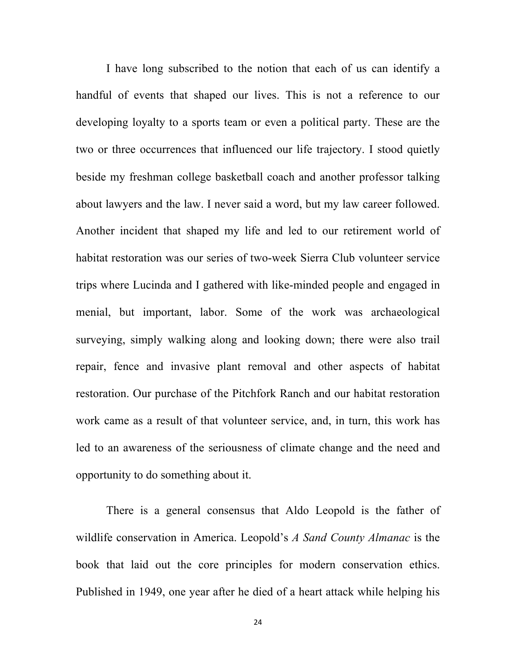I have long subscribed to the notion that each of us can identify a handful of events that shaped our lives. This is not a reference to our developing loyalty to a sports team or even a political party. These are the two or three occurrences that influenced our life trajectory. I stood quietly beside my freshman college basketball coach and another professor talking about lawyers and the law. I never said a word, but my law career followed. Another incident that shaped my life and led to our retirement world of habitat restoration was our series of two-week Sierra Club volunteer service trips where Lucinda and I gathered with like-minded people and engaged in menial, but important, labor. Some of the work was archaeological surveying, simply walking along and looking down; there were also trail repair, fence and invasive plant removal and other aspects of habitat restoration. Our purchase of the Pitchfork Ranch and our habitat restoration work came as a result of that volunteer service, and, in turn, this work has led to an awareness of the seriousness of climate change and the need and opportunity to do something about it.

There is a general consensus that Aldo Leopold is the father of wildlife conservation in America. Leopold's *A Sand County Almanac* is the book that laid out the core principles for modern conservation ethics. Published in 1949, one year after he died of a heart attack while helping his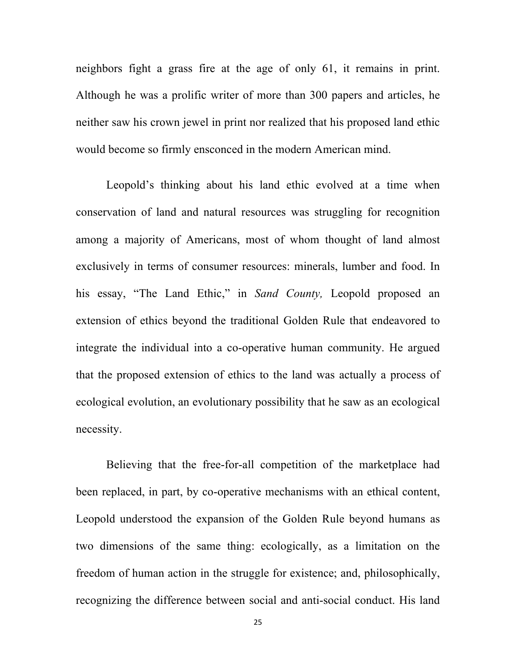neighbors fight a grass fire at the age of only 61, it remains in print. Although he was a prolific writer of more than 300 papers and articles, he neither saw his crown jewel in print nor realized that his proposed land ethic would become so firmly ensconced in the modern American mind.

Leopold's thinking about his land ethic evolved at a time when conservation of land and natural resources was struggling for recognition among a majority of Americans, most of whom thought of land almost exclusively in terms of consumer resources: minerals, lumber and food. In his essay, "The Land Ethic," in *Sand County,* Leopold proposed an extension of ethics beyond the traditional Golden Rule that endeavored to integrate the individual into a co-operative human community. He argued that the proposed extension of ethics to the land was actually a process of ecological evolution, an evolutionary possibility that he saw as an ecological necessity.

Believing that the free-for-all competition of the marketplace had been replaced, in part, by co-operative mechanisms with an ethical content, Leopold understood the expansion of the Golden Rule beyond humans as two dimensions of the same thing: ecologically, as a limitation on the freedom of human action in the struggle for existence; and, philosophically, recognizing the difference between social and anti-social conduct. His land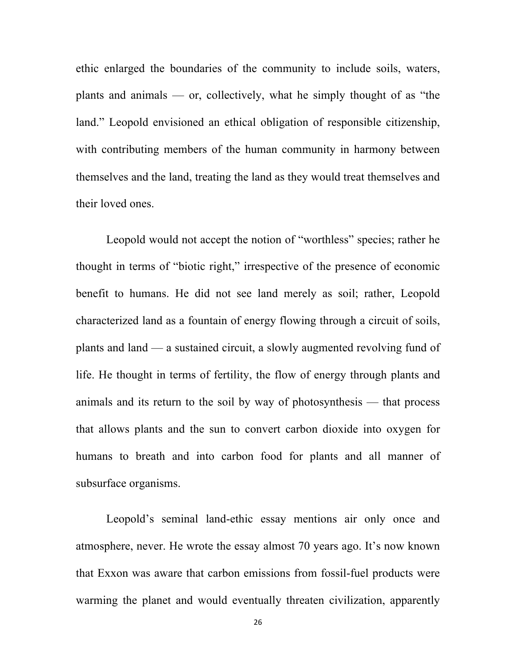ethic enlarged the boundaries of the community to include soils, waters, plants and animals — or, collectively, what he simply thought of as "the land." Leopold envisioned an ethical obligation of responsible citizenship, with contributing members of the human community in harmony between themselves and the land, treating the land as they would treat themselves and their loved ones.

Leopold would not accept the notion of "worthless" species; rather he thought in terms of "biotic right," irrespective of the presence of economic benefit to humans. He did not see land merely as soil; rather, Leopold characterized land as a fountain of energy flowing through a circuit of soils, plants and land — a sustained circuit, a slowly augmented revolving fund of life. He thought in terms of fertility, the flow of energy through plants and animals and its return to the soil by way of photosynthesis — that process that allows plants and the sun to convert carbon dioxide into oxygen for humans to breath and into carbon food for plants and all manner of subsurface organisms.

Leopold's seminal land-ethic essay mentions air only once and atmosphere, never. He wrote the essay almost 70 years ago. It's now known that Exxon was aware that carbon emissions from fossil-fuel products were warming the planet and would eventually threaten civilization, apparently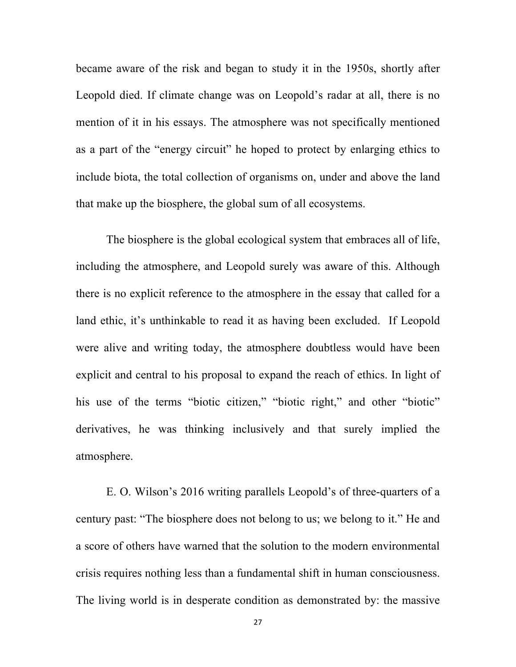became aware of the risk and began to study it in the 1950s, shortly after Leopold died. If climate change was on Leopold's radar at all, there is no mention of it in his essays. The atmosphere was not specifically mentioned as a part of the "energy circuit" he hoped to protect by enlarging ethics to include biota, the total collection of organisms on, under and above the land that make up the biosphere, the global sum of all ecosystems.

The biosphere is the global ecological system that embraces all of life, including the atmosphere, and Leopold surely was aware of this. Although there is no explicit reference to the atmosphere in the essay that called for a land ethic, it's unthinkable to read it as having been excluded. If Leopold were alive and writing today, the atmosphere doubtless would have been explicit and central to his proposal to expand the reach of ethics. In light of his use of the terms "biotic citizen," "biotic right," and other "biotic" derivatives, he was thinking inclusively and that surely implied the atmosphere.

E. O. Wilson's 2016 writing parallels Leopold's of three-quarters of a century past: "The biosphere does not belong to us; we belong to it." He and a score of others have warned that the solution to the modern environmental crisis requires nothing less than a fundamental shift in human consciousness. The living world is in desperate condition as demonstrated by: the massive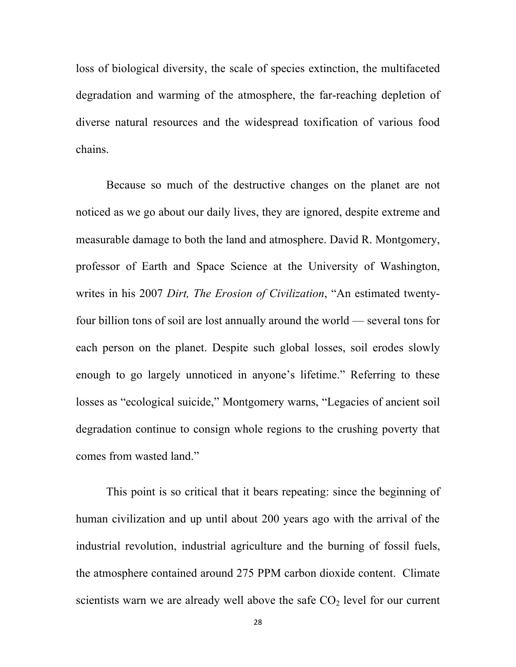loss of biological diversity, the scale of species extinction, the multifaceted degradation and warming of the atmosphere, the far-reaching depletion of diverse natural resources and the widespread toxification of various food chains.

Because so much of the destructive changes on the planet are not noticed as we go about our daily lives, they are ignored, despite extreme and measurable damage to both the land and atmosphere. David R. Montgomery, professor of Earth and Space Science at the University of Washington, writes in his 2007 *Dirt, The Erosion of Civilization*, "An estimated twentyfour billion tons of soil are lost annually around the world — several tons for each person on the planet. Despite such global losses, soil erodes slowly enough to go largely unnoticed in anyone's lifetime." Referring to these losses as "ecological suicide," Montgomery warns, "Legacies of ancient soil degradation continue to consign whole regions to the crushing poverty that comes from wasted land."

This point is so critical that it bears repeating: since the beginning of human civilization and up until about 200 years ago with the arrival of the industrial revolution, industrial agriculture and the burning of fossil fuels, the atmosphere contained around 275 PPM carbon dioxide content. Climate scientists warn we are already well above the safe  $CO<sub>2</sub>$  level for our current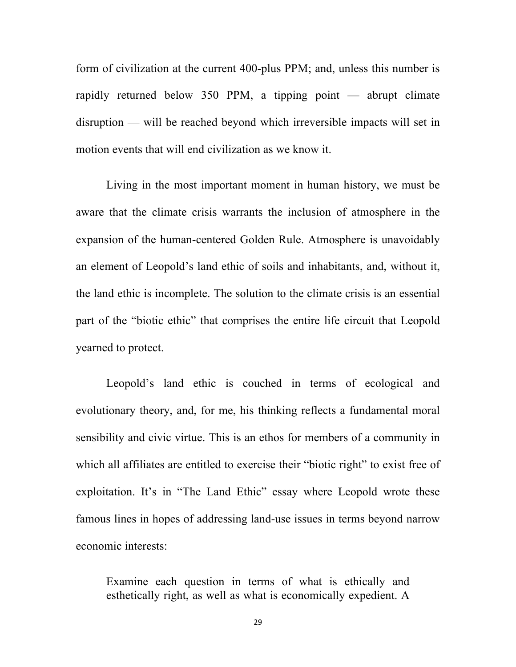form of civilization at the current 400-plus PPM; and, unless this number is rapidly returned below 350 PPM, a tipping point — abrupt climate disruption — will be reached beyond which irreversible impacts will set in motion events that will end civilization as we know it.

Living in the most important moment in human history, we must be aware that the climate crisis warrants the inclusion of atmosphere in the expansion of the human-centered Golden Rule. Atmosphere is unavoidably an element of Leopold's land ethic of soils and inhabitants, and, without it, the land ethic is incomplete. The solution to the climate crisis is an essential part of the "biotic ethic" that comprises the entire life circuit that Leopold yearned to protect.

Leopold's land ethic is couched in terms of ecological and evolutionary theory, and, for me, his thinking reflects a fundamental moral sensibility and civic virtue. This is an ethos for members of a community in which all affiliates are entitled to exercise their "biotic right" to exist free of exploitation. It's in "The Land Ethic" essay where Leopold wrote these famous lines in hopes of addressing land-use issues in terms beyond narrow economic interests:

Examine each question in terms of what is ethically and esthetically right, as well as what is economically expedient. A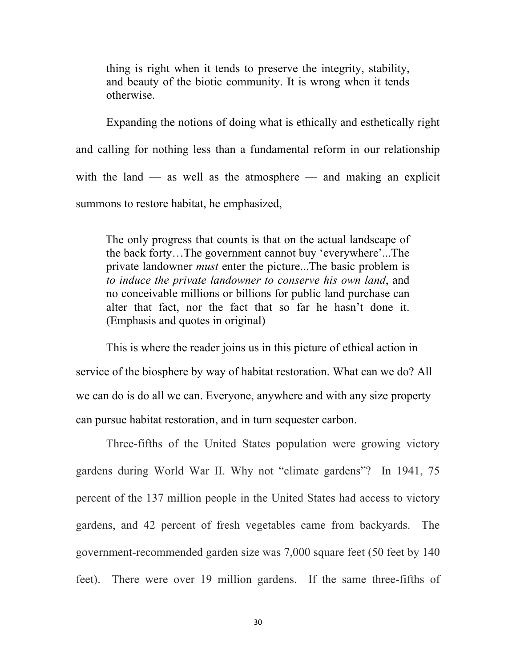thing is right when it tends to preserve the integrity, stability, and beauty of the biotic community. It is wrong when it tends otherwise.

Expanding the notions of doing what is ethically and esthetically right and calling for nothing less than a fundamental reform in our relationship with the land  $-$  as well as the atmosphere  $-$  and making an explicit summons to restore habitat, he emphasized,

 The only progress that counts is that on the actual landscape of the back forty…The government cannot buy 'everywhere'...The private landowner *must* enter the picture...The basic problem is *to induce the private landowner to conserve his own land*, and no conceivable millions or billions for public land purchase can alter that fact, nor the fact that so far he hasn't done it. (Emphasis and quotes in original)

This is where the reader joins us in this picture of ethical action in service of the biosphere by way of habitat restoration. What can we do? All we can do is do all we can. Everyone, anywhere and with any size property can pursue habitat restoration, and in turn sequester carbon.

Three-fifths of the United States population were growing victory gardens during World War II. Why not "climate gardens"? In 1941, 75 percent of the 137 million people in the United States had access to victory gardens, and 42 percent of fresh vegetables came from backyards. The government-recommended garden size was 7,000 square feet (50 feet by 140 feet). There were over 19 million gardens. If the same three-fifths of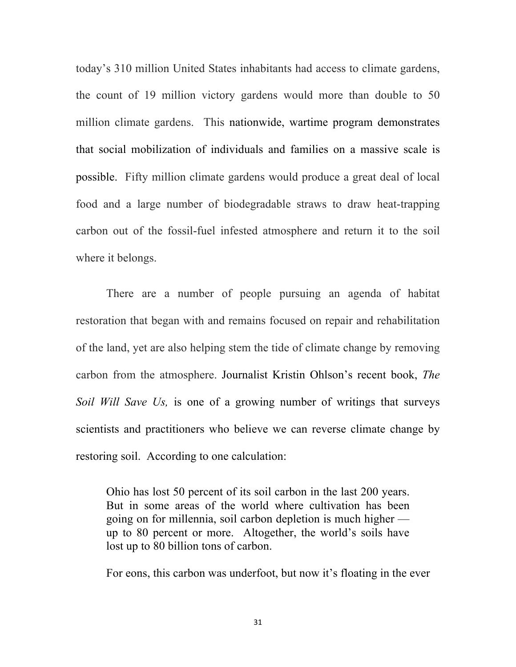today's 310 million United States inhabitants had access to climate gardens, the count of 19 million victory gardens would more than double to 50 million climate gardens. This nationwide, wartime program demonstrates that social mobilization of individuals and families on a massive scale is possible. Fifty million climate gardens would produce a great deal of local food and a large number of biodegradable straws to draw heat-trapping carbon out of the fossil-fuel infested atmosphere and return it to the soil where it belongs.

There are a number of people pursuing an agenda of habitat restoration that began with and remains focused on repair and rehabilitation of the land, yet are also helping stem the tide of climate change by removing carbon from the atmosphere. Journalist Kristin Ohlson's recent book, *The Soil Will Save Us,* is one of a growing number of writings that surveys scientists and practitioners who believe we can reverse climate change by restoring soil. According to one calculation:

Ohio has lost 50 percent of its soil carbon in the last 200 years. But in some areas of the world where cultivation has been going on for millennia, soil carbon depletion is much higher up to 80 percent or more. Altogether, the world's soils have lost up to 80 billion tons of carbon.

For eons, this carbon was underfoot, but now it's floating in the ever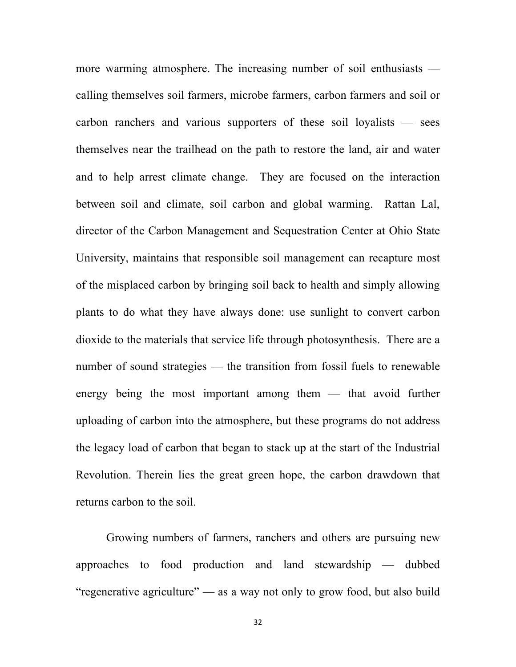more warming atmosphere. The increasing number of soil enthusiasts calling themselves soil farmers, microbe farmers, carbon farmers and soil or carbon ranchers and various supporters of these soil loyalists — sees themselves near the trailhead on the path to restore the land, air and water and to help arrest climate change. They are focused on the interaction between soil and climate, soil carbon and global warming. Rattan Lal, director of the Carbon Management and Sequestration Center at Ohio State University, maintains that responsible soil management can recapture most of the misplaced carbon by bringing soil back to health and simply allowing plants to do what they have always done: use sunlight to convert carbon dioxide to the materials that service life through photosynthesis. There are a number of sound strategies — the transition from fossil fuels to renewable energy being the most important among them — that avoid further uploading of carbon into the atmosphere, but these programs do not address the legacy load of carbon that began to stack up at the start of the Industrial Revolution. Therein lies the great green hope, the carbon drawdown that returns carbon to the soil.

Growing numbers of farmers, ranchers and others are pursuing new approaches to food production and land stewardship — dubbed "regenerative agriculture" — as a way not only to grow food, but also build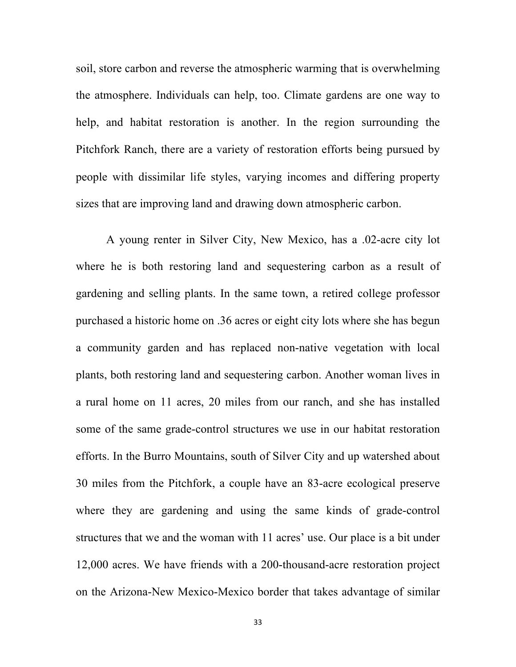soil, store carbon and reverse the atmospheric warming that is overwhelming the atmosphere. Individuals can help, too. Climate gardens are one way to help, and habitat restoration is another. In the region surrounding the Pitchfork Ranch, there are a variety of restoration efforts being pursued by people with dissimilar life styles, varying incomes and differing property sizes that are improving land and drawing down atmospheric carbon.

A young renter in Silver City, New Mexico, has a .02-acre city lot where he is both restoring land and sequestering carbon as a result of gardening and selling plants. In the same town, a retired college professor purchased a historic home on .36 acres or eight city lots where she has begun a community garden and has replaced non-native vegetation with local plants, both restoring land and sequestering carbon. Another woman lives in a rural home on 11 acres, 20 miles from our ranch, and she has installed some of the same grade-control structures we use in our habitat restoration efforts. In the Burro Mountains, south of Silver City and up watershed about 30 miles from the Pitchfork, a couple have an 83-acre ecological preserve where they are gardening and using the same kinds of grade-control structures that we and the woman with 11 acres' use. Our place is a bit under 12,000 acres. We have friends with a 200-thousand-acre restoration project on the Arizona-New Mexico-Mexico border that takes advantage of similar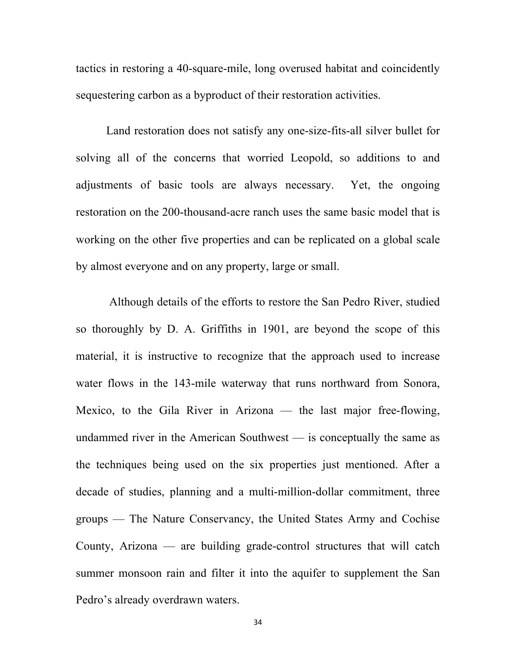tactics in restoring a 40-square-mile, long overused habitat and coincidently sequestering carbon as a byproduct of their restoration activities.

Land restoration does not satisfy any one-size-fits-all silver bullet for solving all of the concerns that worried Leopold, so additions to and adjustments of basic tools are always necessary. Yet, the ongoing restoration on the 200-thousand-acre ranch uses the same basic model that is working on the other five properties and can be replicated on a global scale by almost everyone and on any property, large or small.

Although details of the efforts to restore the San Pedro River, studied so thoroughly by D. A. Griffiths in 1901, are beyond the scope of this material, it is instructive to recognize that the approach used to increase water flows in the 143-mile waterway that runs northward from Sonora, Mexico, to the Gila River in Arizona — the last major free-flowing, undammed river in the American Southwest — is conceptually the same as the techniques being used on the six properties just mentioned. After a decade of studies, planning and a multi-million-dollar commitment, three groups — The Nature Conservancy, the United States Army and Cochise County, Arizona — are building grade-control structures that will catch summer monsoon rain and filter it into the aquifer to supplement the San Pedro's already overdrawn waters.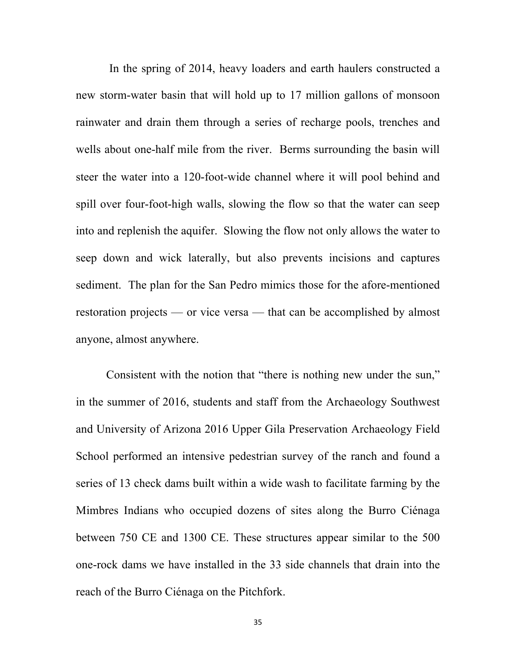In the spring of 2014, heavy loaders and earth haulers constructed a new storm-water basin that will hold up to 17 million gallons of monsoon rainwater and drain them through a series of recharge pools, trenches and wells about one-half mile from the river. Berms surrounding the basin will steer the water into a 120-foot-wide channel where it will pool behind and spill over four-foot-high walls, slowing the flow so that the water can seep into and replenish the aquifer. Slowing the flow not only allows the water to seep down and wick laterally, but also prevents incisions and captures sediment. The plan for the San Pedro mimics those for the afore-mentioned restoration projects — or vice versa — that can be accomplished by almost anyone, almost anywhere.

Consistent with the notion that "there is nothing new under the sun," in the summer of 2016, students and staff from the Archaeology Southwest and University of Arizona 2016 Upper Gila Preservation Archaeology Field School performed an intensive pedestrian survey of the ranch and found a series of 13 check dams built within a wide wash to facilitate farming by the Mimbres Indians who occupied dozens of sites along the Burro Ciénaga between 750 CE and 1300 CE. These structures appear similar to the 500 one-rock dams we have installed in the 33 side channels that drain into the reach of the Burro Ciénaga on the Pitchfork.